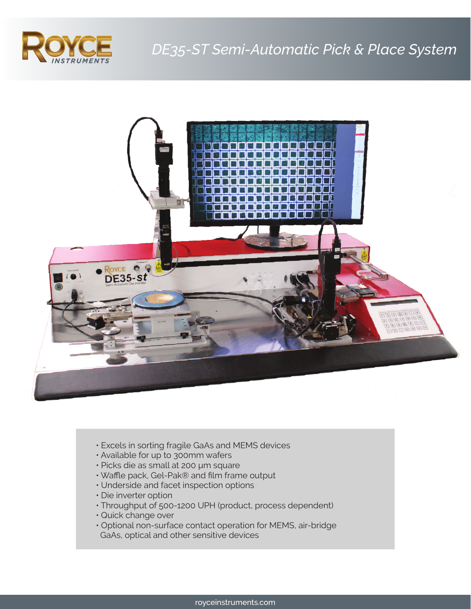



- Excels in sorting fragile GaAs and MEMS devices
- Available for up to 300mm wafers
- Picks die as small at 200 µm square
- Waffle pack, Gel-Pak® and film frame output
- Underside and facet inspection options
- Die inverter option
- Throughput of 500-1200 UPH (product, process dependent)
- Quick change over
- Optional non-surface contact operation for MEMS, air-bridge GaAs, optical and other sensitive devices